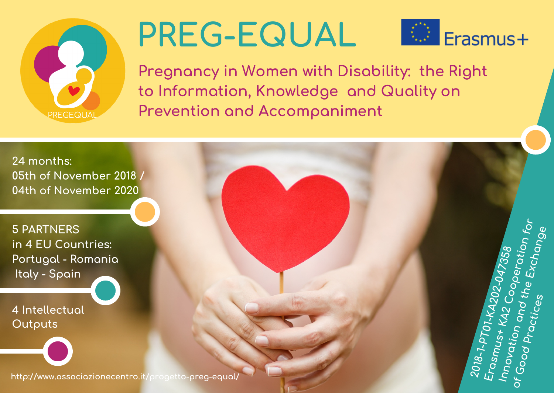

## **PREG-EQUAL**



Pregnancy in Women with Disability: the Right to Information, Knowledge and Quality on **Prevention and Accompaniment**